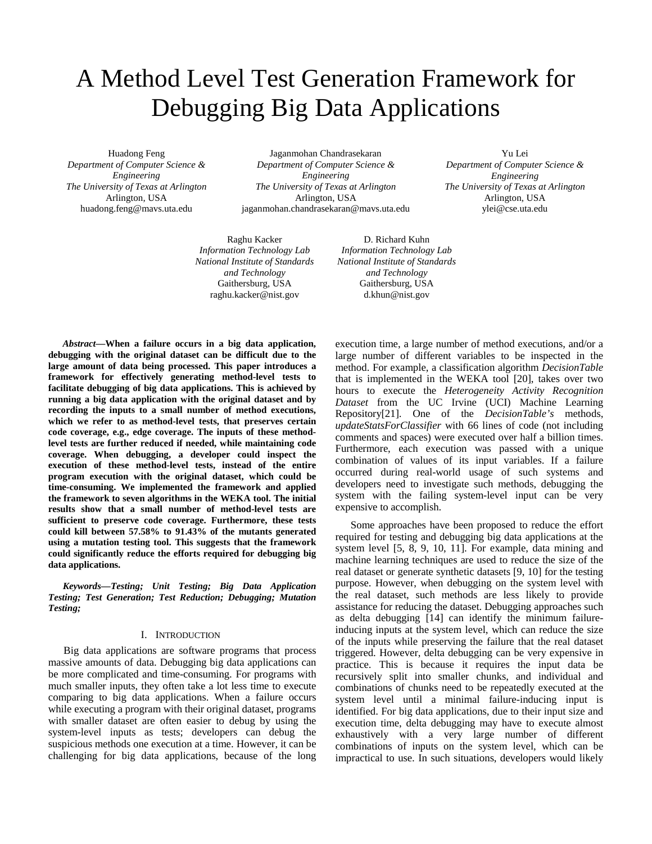# A Method Level Test Generation Framework for Debugging Big Data Applications

Huadong Feng *Department of Computer Science & Engineering The University of Texas at Arlington* Arlington, USA huadong.feng@mavs.uta.edu

Jaganmohan Chandrasekaran *Department of Computer Science & Engineering The University of Texas at Arlington* Arlington, USA jaganmohan.chandrasekaran@mavs.uta.edu

Raghu Kacker *Information Technology Lab National Institute of Standards and Technology* Gaithersburg, USA raghu.kacker@nist.gov

D. Richard Kuhn *Information Technology Lab National Institute of Standards and Technology* Gaithersburg, USA d.khun@nist.gov

*Abstract***—When a failure occurs in a big data application, debugging with the original dataset can be difficult due to the large amount of data being processed. This paper introduces a framework for effectively generating method-level tests to facilitate debugging of big data applications. This is achieved by running a big data application with the original dataset and by recording the inputs to a small number of method executions, which we refer to as method-level tests, that preserves certain code coverage, e.g., edge coverage. The inputs of these methodlevel tests are further reduced if needed, while maintaining code coverage. When debugging, a developer could inspect the execution of these method-level tests, instead of the entire program execution with the original dataset, which could be time-consuming. We implemented the framework and applied the framework to seven algorithms in the WEKA tool. The initial results show that a small number of method-level tests are sufficient to preserve code coverage. Furthermore, these tests could kill between 57.58% to 91.43% of the mutants generated using a mutation testing tool. This suggests that the framework could significantly reduce the efforts required for debugging big data applications.** 

*Keywords—Testing; Unit Testing; Big Data Application Testing; Test Generation; Test Reduction; Debugging; Mutation Testing;*

## I. INTRODUCTION

Big data applications are software programs that process massive amounts of data. Debugging big data applications can be more complicated and time-consuming. For programs with much smaller inputs, they often take a lot less time to execute comparing to big data applications. When a failure occurs while executing a program with their original dataset, programs with smaller dataset are often easier to debug by using the system-level inputs as tests; developers can debug the suspicious methods one execution at a time. However, it can be challenging for big data applications, because of the long execution time, a large number of method executions, and/or a large number of different variables to be inspected in the method. For example, a classification algorithm *DecisionTable* that is implemented in the WEKA tool [20], takes over two hours to execute the *Heterogeneity Activity Recognition Dataset* from the UC Irvine (UCI) Machine Learning Repository[21]. One of the *DecisionTable's* methods, *updateStatsForClassifier* with 66 lines of code (not including comments and spaces) were executed over half a billion times. Furthermore, each execution was passed with a unique combination of values of its input variables. If a failure occurred during real-world usage of such systems and developers need to investigate such methods, debugging the system with the failing system-level input can be very expensive to accomplish.

Yu Lei *Department of Computer Science & Engineering The University of Texas at Arlington* Arlington, USA ylei@cse.uta.edu

Some approaches have been proposed to reduce the effort required for testing and debugging big data applications at the system level [5, 8, 9, 10, 11]. For example, data mining and machine learning techniques are used to reduce the size of the real dataset or generate synthetic datasets [9, 10] for the testing purpose. However, when debugging on the system level with the real dataset, such methods are less likely to provide assistance for reducing the dataset. Debugging approaches such as delta debugging [14] can identify the minimum failureinducing inputs at the system level, which can reduce the size of the inputs while preserving the failure that the real dataset triggered. However, delta debugging can be very expensive in practice. This is because it requires the input data be recursively split into smaller chunks, and individual and combinations of chunks need to be repeatedly executed at the system level until a minimal failure-inducing input is identified. For big data applications, due to their input size and execution time, delta debugging may have to execute almost exhaustively with a very large number of different combinations of inputs on the system level, which can be impractical to use. In such situations, developers would likely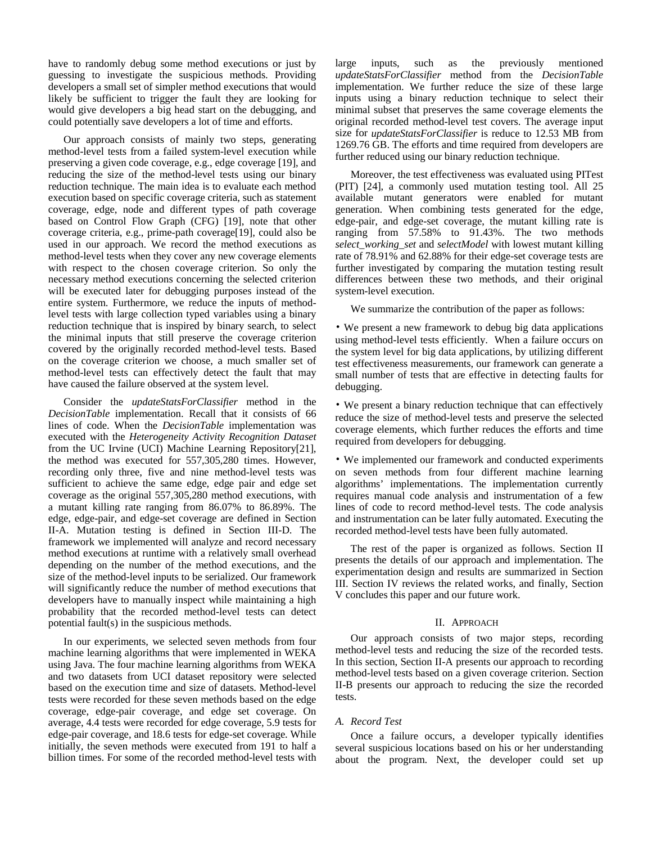have to randomly debug some method executions or just by guessing to investigate the suspicious methods. Providing developers a small set of simpler method executions that would likely be sufficient to trigger the fault they are looking for would give developers a big head start on the debugging, and could potentially save developers a lot of time and efforts.

Our approach consists of mainly two steps, generating method-level tests from a failed system-level execution while preserving a given code coverage, e.g., edge coverage [19], and reducing the size of the method-level tests using our binary reduction technique. The main idea is to evaluate each method execution based on specific coverage criteria, such as statement coverage, edge, node and different types of path coverage based on Control Flow Graph (CFG) [19], note that other coverage criteria, e.g., prime-path coverage[19], could also be used in our approach. We record the method executions as method-level tests when they cover any new coverage elements with respect to the chosen coverage criterion. So only the necessary method executions concerning the selected criterion will be executed later for debugging purposes instead of the entire system. Furthermore, we reduce the inputs of methodlevel tests with large collection typed variables using a binary reduction technique that is inspired by binary search, to select the minimal inputs that still preserve the coverage criterion covered by the originally recorded method-level tests. Based on the coverage criterion we choose, a much smaller set of method-level tests can effectively detect the fault that may have caused the failure observed at the system level.

Consider the *updateStatsForClassifier* method in the *DecisionTable* implementation. Recall that it consists of 66 lines of code. When the *DecisionTable* implementation was executed with the *Heterogeneity Activity Recognition Dataset* from the UC Irvine (UCI) Machine Learning Repository[21], the method was executed for 557,305,280 times. However, recording only three, five and nine method-level tests was sufficient to achieve the same edge, edge pair and edge set coverage as the original 557,305,280 method executions, with a mutant killing rate ranging from 86.07% to 86.89%. The edge, edge-pair, and edge-set coverage are defined in Section II-A. Mutation testing is defined in Section III-D. The framework we implemented will analyze and record necessary method executions at runtime with a relatively small overhead depending on the number of the method executions, and the size of the method-level inputs to be serialized. Our framework will significantly reduce the number of method executions that developers have to manually inspect while maintaining a high probability that the recorded method-level tests can detect potential fault(s) in the suspicious methods.

In our experiments, we selected seven methods from four machine learning algorithms that were implemented in WEKA using Java. The four machine learning algorithms from WEKA and two datasets from UCI dataset repository were selected based on the execution time and size of datasets. Method-level tests were recorded for these seven methods based on the edge coverage, edge-pair coverage, and edge set coverage. On average, 4.4 tests were recorded for edge coverage, 5.9 tests for edge-pair coverage, and 18.6 tests for edge-set coverage. While initially, the seven methods were executed from 191 to half a billion times. For some of the recorded method-level tests with large inputs, such as the previously mentioned *updateStatsForClassifier* method from the *DecisionTable* implementation. We further reduce the size of these large inputs using a binary reduction technique to select their minimal subset that preserves the same coverage elements the original recorded method-level test covers. The average input size for *updateStatsForClassifier* is reduce to 12.53 MB from 1269.76 GB. The efforts and time required from developers are further reduced using our binary reduction technique.

Moreover, the test effectiveness was evaluated using PITest (PIT) [24], a commonly used mutation testing tool. All 25 available mutant generators were enabled for mutant generation. When combining tests generated for the edge, edge-pair, and edge-set coverage, the mutant killing rate is ranging from 57.58% to 91.43%. The two methods *select\_working*\_*set* and *selectModel* with lowest mutant killing rate of 78.91% and 62.88% for their edge-set coverage tests are further investigated by comparing the mutation testing result differences between these two methods, and their original system-level execution.

We summarize the contribution of the paper as follows:

• We present a new framework to debug big data applications using method-level tests efficiently. When a failure occurs on the system level for big data applications, by utilizing different test effectiveness measurements, our framework can generate a small number of tests that are effective in detecting faults for debugging.

• We present a binary reduction technique that can effectively reduce the size of method-level tests and preserve the selected coverage elements, which further reduces the efforts and time required from developers for debugging.

• We implemented our framework and conducted experiments on seven methods from four different machine learning algorithms' implementations. The implementation currently requires manual code analysis and instrumentation of a few lines of code to record method-level tests. The code analysis and instrumentation can be later fully automated. Executing the recorded method-level tests have been fully automated.

The rest of the paper is organized as follows. Section II presents the details of our approach and implementation. The experimentation design and results are summarized in Section III. Section IV reviews the related works, and finally, Section V concludes this paper and our future work.

## II. APPROACH

Our approach consists of two major steps, recording method-level tests and reducing the size of the recorded tests. In this section, Section II-A presents our approach to recording method-level tests based on a given coverage criterion. Section II-B presents our approach to reducing the size the recorded tests.

# *A. Record Test*

Once a failure occurs, a developer typically identifies several suspicious locations based on his or her understanding about the program. Next, the developer could set up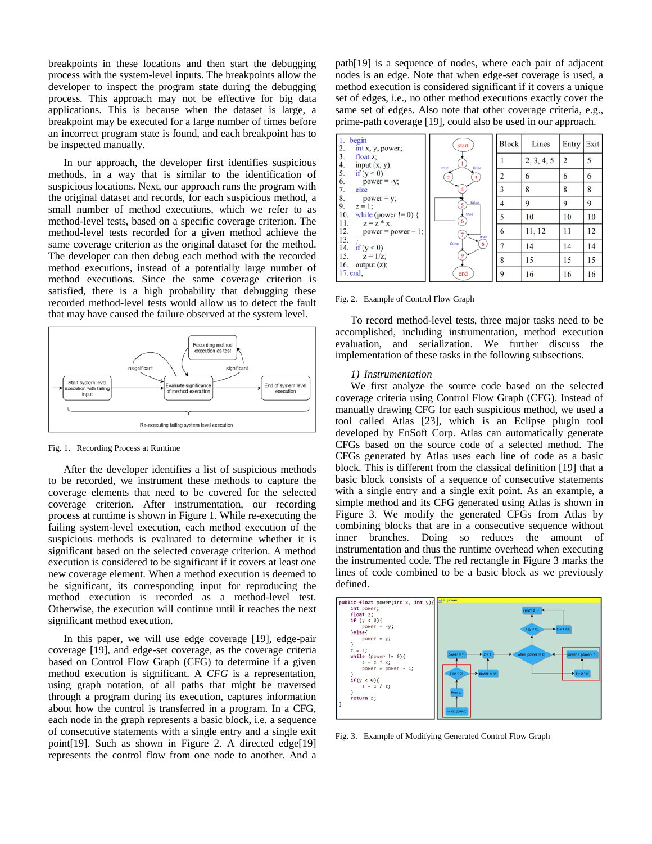breakpoints in these locations and then start the debugging process with the system-level inputs. The breakpoints allow the developer to inspect the program state during the debugging process. This approach may not be effective for big data applications. This is because when the dataset is large, a breakpoint may be executed for a large number of times before an incorrect program state is found, and each breakpoint has to be inspected manually.

In our approach, the developer first identifies suspicious methods, in a way that is similar to the identification of suspicious locations. Next, our approach runs the program with the original dataset and records, for each suspicious method, a small number of method executions, which we refer to as method-level tests, based on a specific coverage criterion. The method-level tests recorded for a given method achieve the same coverage criterion as the original dataset for the method. The developer can then debug each method with the recorded method executions, instead of a potentially large number of method executions. Since the same coverage criterion is satisfied, there is a high probability that debugging these recorded method-level tests would allow us to detect the fault that may have caused the failure observed at the system level.



Fig. 1. Recording Process at Runtime

After the developer identifies a list of suspicious methods to be recorded, we instrument these methods to capture the coverage elements that need to be covered for the selected coverage criterion. After instrumentation, our recording process at runtime is shown in Figure 1. While re-executing the failing system-level execution, each method execution of the suspicious methods is evaluated to determine whether it is significant based on the selected coverage criterion. A method execution is considered to be significant if it covers at least one new coverage element. When a method execution is deemed to be significant, its corresponding input for reproducing the method execution is recorded as a method-level test. Otherwise, the execution will continue until it reaches the next significant method execution.

In this paper, we will use edge coverage [19], edge-pair coverage [19], and edge-set coverage, as the coverage criteria based on Control Flow Graph (CFG) to determine if a given method execution is significant. A *CFG* is a representation, using graph notation, of all paths that might be traversed through a program during its execution, captures information about how the control is transferred in a program. In a CFG, each node in the graph represents a basic block, i.e. a sequence of consecutive statements with a single entry and a single exit point[19]. Such as shown in Figure 2. A directed edge[19] represents the control flow from one node to another. And a

path[19] is a sequence of nodes, where each pair of adjacent nodes is an edge. Note that when edge-set coverage is used, a method execution is considered significant if it covers a unique set of edges, i.e., no other method executions exactly cover the same set of edges. Also note that other coverage criteria, e.g., prime-path coverage [19], could also be used in our approach.



Fig. 2. Example of Control Flow Graph

To record method-level tests, three major tasks need to be accomplished, including instrumentation, method execution evaluation, and serialization. We further discuss the implementation of these tasks in the following subsections.

#### *1) Instrumentation*

We first analyze the source code based on the selected coverage criteria using Control Flow Graph (CFG). Instead of manually drawing CFG for each suspicious method, we used a tool called Atlas [23], which is an Eclipse plugin tool developed by EnSoft Corp. Atlas can automatically generate CFGs based on the source code of a selected method. The CFGs generated by Atlas uses each line of code as a basic block. This is different from the classical definition [19] that a basic block consists of a sequence of consecutive statements with a single entry and a single exit point. As an example, a simple method and its CFG generated using Atlas is shown in Figure 3. We modify the generated CFGs from Atlas by combining blocks that are in a consecutive sequence without inner branches. Doing so reduces the amount of instrumentation and thus the runtime overhead when executing the instrumented code. The red rectangle in Figure 3 marks the lines of code combined to be a basic block as we previously defined.



Fig. 3. Example of Modifying Generated Control Flow Graph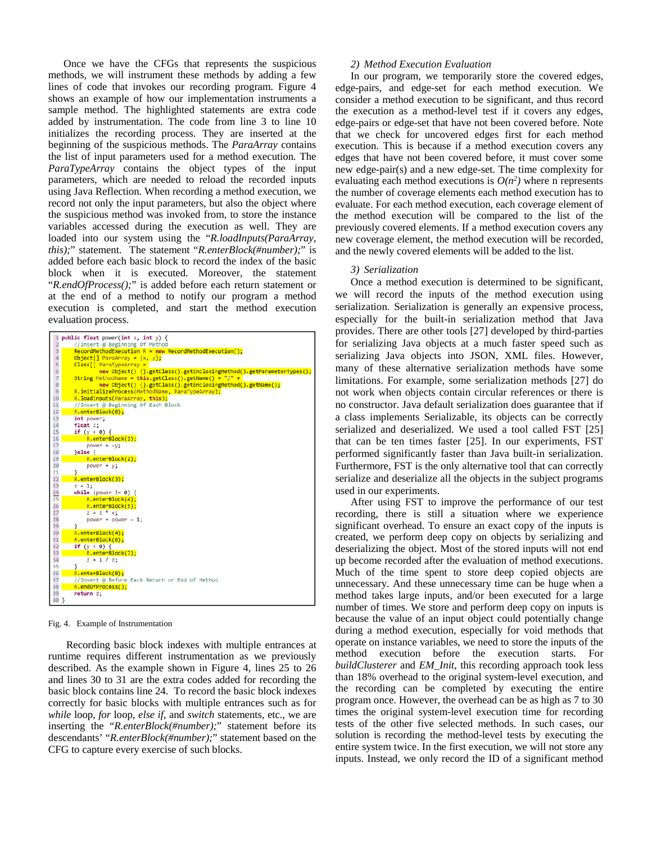Once we have the CFGs that represents the suspicious methods, we will instrument these methods by adding a few lines of code that invokes our recording program. Figure 4 shows an example of how our implementation instruments a sample method. The highlighted statements are extra code added by instrumentation. The code from line 3 to line 10 initializes the recording process. They are inserted at the beginning of the suspicious methods. The *ParaArray* contains the list of input parameters used for a method execution. The *ParaTypeArray* contains the object types of the input parameters, which are needed to reload the recorded inputs using Java Reflection. When recording a method execution, we record not only the input parameters, but also the object where the suspicious method was invoked from, to store the instance variables accessed during the execution as well. They are loaded into our system using the "*R.loadInputs(ParaArray, this);*" statement. The statement "*R.enterBlock(#number);*" is added before each basic block to record the index of the basic block when it is executed. Moreover, the statement "*R.endOfProcess();*" is added before each return statement or at the end of a method to notify our program a method execution is completed, and start the method execution evaluation process.

| $\mathbf{1}$            | public float power(int $x$ , int $y$ ) {                             |
|-------------------------|----------------------------------------------------------------------|
| $\overline{2}$          | //Insert @ Beginning Of Method                                       |
| $\overline{\mathbf{3}}$ | $RecondMethodException R = new RecordMethodException()$              |
| $\overline{4}$          | Object[] ParaArray = $\{x, y\}$ ;                                    |
| 5                       | $Class[] ParatypeArray =$                                            |
| 6                       | new Object() {}.getClass().getEnclosingMethod().getParameterTypes(); |
| $\overline{7}$          | String MethodName = this.getClass().getName() + "/" +                |
| 8                       | new Object() {}.getClass().getEnclosingMethod().getName();           |
| $\overline{9}$          | R.initializeProcess(MethodName, ParaTypeArray);                      |
| 10                      | R.loadInputs(ParaArray, this):                                       |
| 11                      | //Insert @ Beginning Of Each Block                                   |
| 12                      | R.enterBlock(0);                                                     |
| 13                      | int power;                                                           |
| 14                      | float z:                                                             |
| 15<br>16                | if $(y < 0)$ {<br>R.enterBlock(1);                                   |
| 17                      | $power = -y$ ;                                                       |
| 18                      | $\text{else}$                                                        |
| 19                      | R.enterBlock(2);                                                     |
| 20                      | $power = y$ ;                                                        |
| 21                      |                                                                      |
| 22                      | R.enterBlock(3);                                                     |
| 23                      | $z = 1$ ;                                                            |
|                         | while (power $!= 0)$ {                                               |
| $\frac{24}{25}$         | R.enterBlock(4);                                                     |
| 26                      | R.enterBlock(5);                                                     |
| 27                      | $z = z * x;$                                                         |
| 28                      | power = $power - 1$ ;                                                |
| 29                      |                                                                      |
| 30                      | R.enterBlock(4);                                                     |
| 31                      | $R.\enterBlock(6);$                                                  |
| 32                      | if $(y < 0)$ {                                                       |
| 33                      | R.enterBlock(7);                                                     |
| 34                      | $z = 1 / z;$                                                         |
| 35                      | Y                                                                    |
| 36                      | R.enterBlock(8);                                                     |
| 37                      | //Insert @ Before Each Return or End of Method                       |
| 38                      | R.endOfProcess();                                                    |
| 39                      | return z:                                                            |
| 40 }                    |                                                                      |
|                         |                                                                      |

#### Fig. 4. Example of Instrumentation

Recording basic block indexes with multiple entrances at runtime requires different instrumentation as we previously described. As the example shown in Figure 4, lines 25 to 26 and lines 30 to 31 are the extra codes added for recording the basic block contains line 24. To record the basic block indexes correctly for basic blocks with multiple entrances such as for *while* loop, *for* loop, *else if*, and *switch* statements, etc., we are inserting the "*R.enterBlock(#number);*" statement before its descendants' "*R.enterBlock(#number);*" statement based on the CFG to capture every exercise of such blocks.

## *2) Method Execution Evaluation*

In our program, we temporarily store the covered edges, edge-pairs, and edge-set for each method execution. We consider a method execution to be significant, and thus record the execution as a method-level test if it covers any edges, edge-pairs or edge-set that have not been covered before. Note that we check for uncovered edges first for each method execution. This is because if a method execution covers any edges that have not been covered before, it must cover some new edge-pair(s) and a new edge-set. The time complexity for evaluating each method executions is  $O(n^2)$  where n represents the number of coverage elements each method execution has to evaluate. For each method execution, each coverage element of the method execution will be compared to the list of the previously covered elements. If a method execution covers any new coverage element, the method execution will be recorded, and the newly covered elements will be added to the list.

## *3) Serialization*

Once a method execution is determined to be significant, we will record the inputs of the method execution using serialization. Serialization is generally an expensive process, especially for the built-in serialization method that Java provides. There are other tools [27] developed by third-parties for serializing Java objects at a much faster speed such as serializing Java objects into JSON, XML files. However, many of these alternative serialization methods have some limitations. For example, some serialization methods [27] do not work when objects contain circular references or there is no constructor. Java default serialization does guarantee that if a class implements Serializable, its objects can be correctly serialized and deserialized. We used a tool called FST [25] that can be ten times faster [25]. In our experiments, FST performed significantly faster than Java built-in serialization. Furthermore, FST is the only alternative tool that can correctly serialize and deserialize all the objects in the subject programs used in our experiments.

After using FST to improve the performance of our test recording, there is still a situation where we experience significant overhead. To ensure an exact copy of the inputs is created, we perform deep copy on objects by serializing and deserializing the object. Most of the stored inputs will not end up become recorded after the evaluation of method executions. Much of the time spent to store deep copied objects are unnecessary. And these unnecessary time can be huge when a method takes large inputs, and/or been executed for a large number of times. We store and perform deep copy on inputs is because the value of an input object could potentially change during a method execution, especially for void methods that operate on instance variables, we need to store the inputs of the method execution before the execution starts. For *buildClusterer* and *EM\_Init*, this recording approach took less than 18% overhead to the original system-level execution, and the recording can be completed by executing the entire program once. However, the overhead can be as high as 7 to 30 times the original system-level execution time for recording tests of the other five selected methods. In such cases, our solution is recording the method-level tests by executing the entire system twice. In the first execution, we will not store any inputs. Instead, we only record the ID of a significant method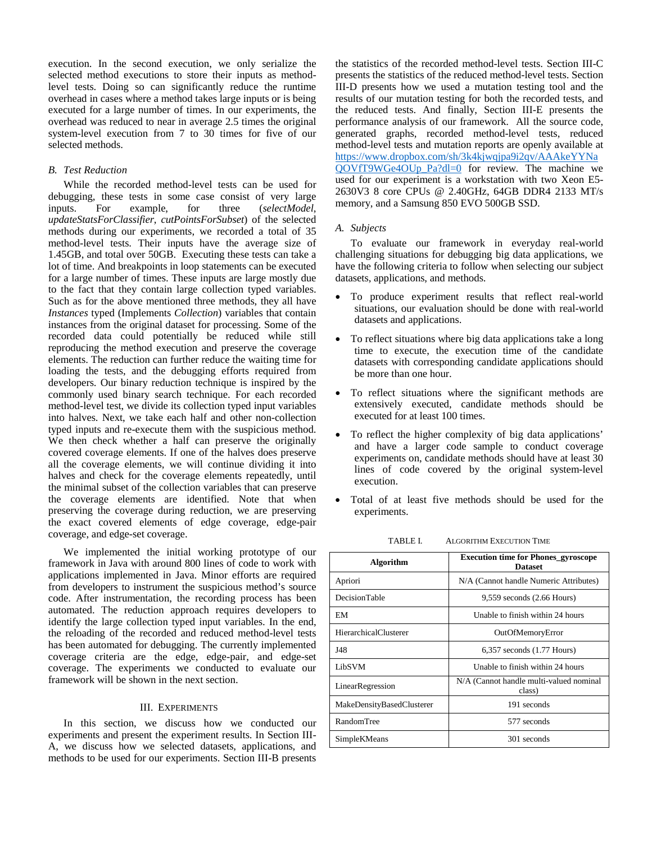execution. In the second execution, we only serialize the selected method executions to store their inputs as methodlevel tests. Doing so can significantly reduce the runtime overhead in cases where a method takes large inputs or is being executed for a large number of times. In our experiments, the overhead was reduced to near in average 2.5 times the original system-level execution from 7 to 30 times for five of our selected methods.

# *B. Test Reduction*

While the recorded method-level tests can be used for debugging, these tests in some case consist of very large inputs. For example, for three (*selectModel*, *updateStatsForClassifier*, *cutPointsForSubset*) of the selected methods during our experiments, we recorded a total of 35 method-level tests. Their inputs have the average size of 1.45GB, and total over 50GB. Executing these tests can take a lot of time. And breakpoints in loop statements can be executed for a large number of times. These inputs are large mostly due to the fact that they contain large collection typed variables. Such as for the above mentioned three methods, they all have *Instances* typed (Implements *Collection*) variables that contain instances from the original dataset for processing. Some of the recorded data could potentially be reduced while still reproducing the method execution and preserve the coverage elements. The reduction can further reduce the waiting time for loading the tests, and the debugging efforts required from developers. Our binary reduction technique is inspired by the commonly used binary search technique. For each recorded method-level test, we divide its collection typed input variables into halves. Next, we take each half and other non-collection typed inputs and re-execute them with the suspicious method. We then check whether a half can preserve the originally covered coverage elements. If one of the halves does preserve all the coverage elements, we will continue dividing it into halves and check for the coverage elements repeatedly, until the minimal subset of the collection variables that can preserve the coverage elements are identified. Note that when preserving the coverage during reduction, we are preserving the exact covered elements of edge coverage, edge-pair coverage, and edge-set coverage.

We implemented the initial working prototype of our framework in Java with around 800 lines of code to work with applications implemented in Java. Minor efforts are required from developers to instrument the suspicious method's source code. After instrumentation, the recording process has been automated. The reduction approach requires developers to identify the large collection typed input variables. In the end, the reloading of the recorded and reduced method-level tests has been automated for debugging. The currently implemented coverage criteria are the edge, edge-pair, and edge-set coverage. The experiments we conducted to evaluate our framework will be shown in the next section.

# III. EXPERIMENTS

In this section, we discuss how we conducted our experiments and present the experiment results. In Section III-A, we discuss how we selected datasets, applications, and methods to be used for our experiments. Section III-B presents

the statistics of the recorded method-level tests. Section III-C presents the statistics of the reduced method-level tests. Section III-D presents how we used a mutation testing tool and the results of our mutation testing for both the recorded tests, and the reduced tests. And finally, Section III-E presents the performance analysis of our framework. All the source code, generated graphs, recorded method-level tests, reduced method-level tests and mutation reports are openly available at [https://www.dropbox.com/sh/3k4kjwqjpa9i2qv/AAAkeYYNa](https://www.dropbox.com/sh/3k4kjwqjpa9i2qv/AAAkeYYNaQOVfT9WGe4OUp_Pa?dl=0) [QOVfT9WGe4OUp\\_Pa?dl=0](https://www.dropbox.com/sh/3k4kjwqjpa9i2qv/AAAkeYYNaQOVfT9WGe4OUp_Pa?dl=0) for review. The machine we used for our experiment is a workstation with two Xeon E5- 2630V3 8 core CPUs @ 2.40GHz, 64GB DDR4 2133 MT/s memory, and a Samsung 850 EVO 500GB SSD.

# *A. Subjects*

To evaluate our framework in everyday real-world challenging situations for debugging big data applications, we have the following criteria to follow when selecting our subject datasets, applications, and methods.

- To produce experiment results that reflect real-world situations, our evaluation should be done with real-world datasets and applications.
- To reflect situations where big data applications take a long time to execute, the execution time of the candidate datasets with corresponding candidate applications should be more than one hour.
- To reflect situations where the significant methods are extensively executed, candidate methods should be executed for at least 100 times.
- To reflect the higher complexity of big data applications' and have a larger code sample to conduct coverage experiments on, candidate methods should have at least 30 lines of code covered by the original system-level execution.
- Total of at least five methods should be used for the experiments.

| Algorithm                    | <b>Execution time for Phones_gyroscope</b><br><b>Dataset</b> |  |  |  |  |  |
|------------------------------|--------------------------------------------------------------|--|--|--|--|--|
| Apriori                      | N/A (Cannot handle Numeric Attributes)                       |  |  |  |  |  |
| DecisionTable                | $9,559$ seconds $(2.66$ Hours)                               |  |  |  |  |  |
| EM                           | Unable to finish within 24 hours                             |  |  |  |  |  |
| <b>HierarchicalClusterer</b> | OutOfMemoryError                                             |  |  |  |  |  |
| J48                          | $6,357$ seconds $(1.77$ Hours)                               |  |  |  |  |  |
| LibSVM                       | Unable to finish within 24 hours                             |  |  |  |  |  |
| LinearRegression             | N/A (Cannot handle multi-valued nominal<br>class)            |  |  |  |  |  |
| MakeDensityBasedClusterer    | 191 seconds                                                  |  |  |  |  |  |
| RandomTree                   | 577 seconds                                                  |  |  |  |  |  |
| SimpleKMeans                 | 301 seconds                                                  |  |  |  |  |  |

TABLE I. ALGORITHM EXECUTION TIME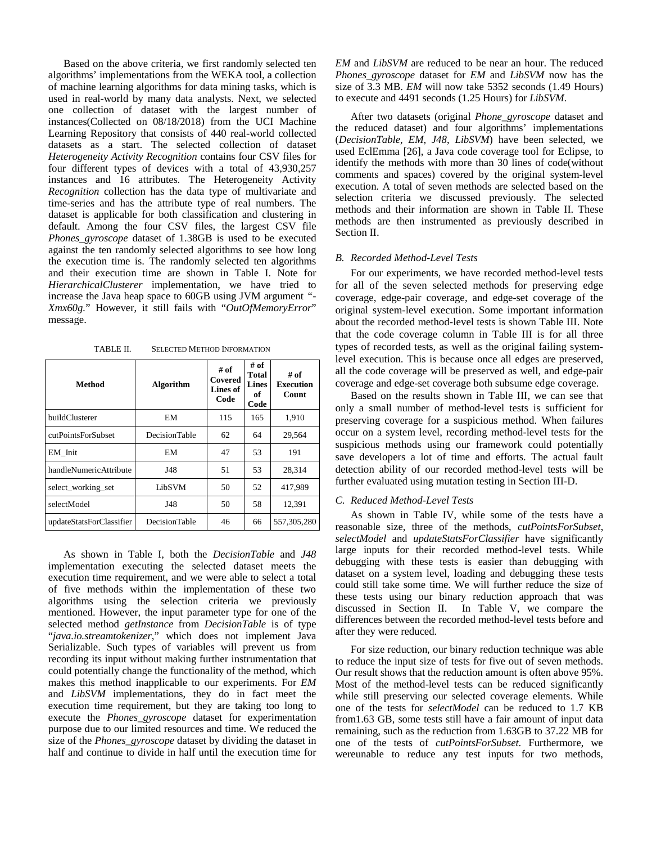Based on the above criteria, we first randomly selected ten algorithms' implementations from the WEKA tool, a collection of machine learning algorithms for data mining tasks, which is used in real-world by many data analysts. Next, we selected one collection of dataset with the largest number of instances(Collected on 08/18/2018) from the UCI Machine Learning Repository that consists of 440 real-world collected datasets as a start. The selected collection of dataset *Heterogeneity Activity Recognition* contains four CSV files for four different types of devices with a total of 43,930,257 instances and 16 attributes. The Heterogeneity Activity *Recognition* collection has the data type of multivariate and time-series and has the attribute type of real numbers. The dataset is applicable for both classification and clustering in default. Among the four CSV files, the largest CSV file *Phones\_gyroscope* dataset of 1.38GB is used to be executed against the ten randomly selected algorithms to see how long the execution time is. The randomly selected ten algorithms and their execution time are shown in Table I. Note for *HierarchicalClusterer* implementation, we have tried to increase the Java heap space to 60GB using JVM argument *"- Xmx60g.*" However, it still fails with "*OutOfMemoryError*" message.

TABLE II. SELECTED METHOD INFORMATION

| Method                   | <b>Algorithm</b> | # of<br>Covered<br>Lines of<br>Code | # of<br><b>Total</b><br>Lines<br>of<br>Code | # of<br><b>Execution</b><br><b>Count</b> |
|--------------------------|------------------|-------------------------------------|---------------------------------------------|------------------------------------------|
| buildClusterer           | EM               | 115                                 | 165                                         | 1,910                                    |
| cutPointsForSubset       | DecisionTable    | 62                                  | 64                                          | 29,564                                   |
| EM Init                  | EM               | 47                                  | 53                                          | 191                                      |
| handleNumericAttribute   | J48              | 51                                  | 53                                          | 28,314                                   |
| select working set       | LibSVM           | 50                                  | 52                                          | 417.989                                  |
| selectModel              | J48              | 50                                  | 58                                          | 12,391                                   |
| updateStatsForClassifier | DecisionTable    | 46                                  | 66                                          | 557,305,280                              |

As shown in Table I, both the *DecisionTable* and *J48* implementation executing the selected dataset meets the execution time requirement, and we were able to select a total of five methods within the implementation of these two algorithms using the selection criteria we previously mentioned. However, the input parameter type for one of the selected method *getInstance* from *DecisionTable* is of type "*java.io.streamtokenizer*," which does not implement Java Serializable. Such types of variables will prevent us from recording its input without making further instrumentation that could potentially change the functionality of the method, which makes this method inapplicable to our experiments. For *EM* and *LibSVM* implementations, they do in fact meet the execution time requirement, but they are taking too long to execute the *Phones\_gyroscope* dataset for experimentation purpose due to our limited resources and time. We reduced the size of the *Phones\_gyroscope* dataset by dividing the dataset in half and continue to divide in half until the execution time for

*EM* and *LibSVM* are reduced to be near an hour. The reduced *Phones\_gyroscope* dataset for *EM* and *LibSVM* now has the size of 3.3 MB. *EM* will now take 5352 seconds (1.49 Hours) to execute and 4491 seconds (1.25 Hours) for *LibSVM*.

After two datasets (original *Phone\_gyroscope* dataset and the reduced dataset) and four algorithms' implementations (*DecisionTable*, *EM*, *J48*, *LibSVM*) have been selected, we used EclEmma [26], a Java code coverage tool for Eclipse, to identify the methods with more than 30 lines of code(without comments and spaces) covered by the original system-level execution. A total of seven methods are selected based on the selection criteria we discussed previously. The selected methods and their information are shown in Table II. These methods are then instrumented as previously described in Section II.

## *B. Recorded Method-Level Tests*

For our experiments, we have recorded method-level tests for all of the seven selected methods for preserving edge coverage, edge-pair coverage, and edge-set coverage of the original system-level execution. Some important information about the recorded method-level tests is shown Table III. Note that the code coverage column in Table III is for all three types of recorded tests, as well as the original failing systemlevel execution. This is because once all edges are preserved, all the code coverage will be preserved as well, and edge-pair coverage and edge-set coverage both subsume edge coverage.

Based on the results shown in Table III, we can see that only a small number of method-level tests is sufficient for preserving coverage for a suspicious method. When failures occur on a system level, recording method-level tests for the suspicious methods using our framework could potentially save developers a lot of time and efforts. The actual fault detection ability of our recorded method-level tests will be further evaluated using mutation testing in Section III-D.

#### *C. Reduced Method-Level Tests*

As shown in Table IV, while some of the tests have a reasonable size, three of the methods, *cutPointsForSubset*, *selectModel* and *updateStatsForClassifier* have significantly large inputs for their recorded method-level tests. While debugging with these tests is easier than debugging with dataset on a system level, loading and debugging these tests could still take some time. We will further reduce the size of these tests using our binary reduction approach that was discussed in Section II. In Table V, we compare the differences between the recorded method-level tests before and after they were reduced.

For size reduction, our binary reduction technique was able to reduce the input size of tests for five out of seven methods. Our result shows that the reduction amount is often above 95%. Most of the method-level tests can be reduced significantly while still preserving our selected coverage elements. While one of the tests for *selectModel* can be reduced to 1.7 KB from1.63 GB, some tests still have a fair amount of input data remaining, such as the reduction from 1.63GB to 37.22 MB for one of the tests of *cutPointsForSubset*. Furthermore, we wereunable to reduce any test inputs for two methods,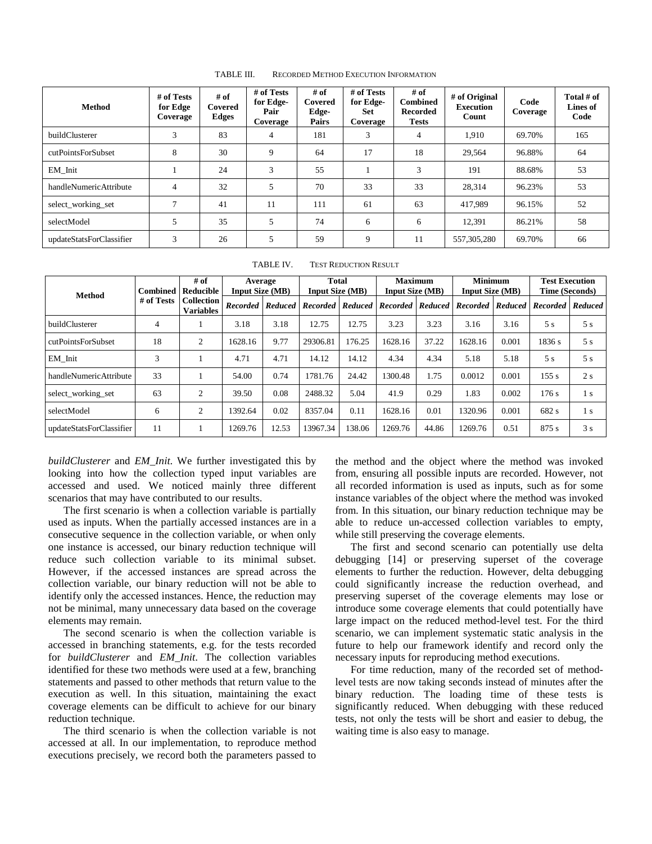| <b>Method</b>            | # of Tests<br>for Edge<br>Coverage | # of<br>Covered<br>Edges | # of Tests<br>for Edge-<br>Pair<br>Coverage | # of<br>Covered<br>Edge-<br>Pairs | # of Tests<br>for Edge-<br>Set<br>Coverage | # of<br><b>Combined</b><br><b>Recorded</b><br><b>Tests</b> | # of Original<br><b>Execution</b><br>Count | Code<br>Coverage | Total # of<br>Lines of<br>Code |
|--------------------------|------------------------------------|--------------------------|---------------------------------------------|-----------------------------------|--------------------------------------------|------------------------------------------------------------|--------------------------------------------|------------------|--------------------------------|
| buildClusterer           | 3                                  | 83                       | $\overline{4}$                              | 181                               | 3                                          | $\overline{4}$                                             | 1.910                                      | 69.70%           | 165                            |
| cutPointsForSubset       | 8                                  | 30                       | 9                                           | 64                                | 17                                         | 18                                                         | 29.564                                     | 96.88%           | 64                             |
| EM Init                  |                                    | 24                       | 3                                           | 55                                |                                            | 3                                                          | 191                                        | 88.68%           | 53                             |
| handleNumericAttribute   | $\overline{4}$                     | 32                       | 5                                           | 70                                | 33                                         | 33                                                         | 28.314                                     | 96.23%           | 53                             |
| select_working_set       | $\mathcal{L}$                      | 41                       | 11                                          | 111                               | 61                                         | 63                                                         | 417.989                                    | 96.15%           | 52                             |
| selectModel              | 5                                  | 35                       | 5                                           | 74                                | 6                                          | 6                                                          | 12.391                                     | 86.21%           | 58                             |
| updateStatsForClassifier | 3                                  | 26                       | 5                                           | 59                                | 9                                          | 11                                                         | 557,305,280                                | 69.70%           | 66                             |

TABLE III. RECORDED METHOD EXECUTION INFORMATION

| TABLE IV. | <b>TEST REDUCTION RESULT</b> |
|-----------|------------------------------|
|           |                              |

| <b>Method</b>            | Combined   | # of<br>Reducible                     | Average<br><b>Input Size (MB)</b> |                  | <b>Total</b><br><b>Input Size (MB)</b> |         | <b>Maximum</b><br><b>Input Size (MB)</b> |         | <b>Minimum</b><br><b>Input Size (MB)</b> |         | <b>Test Execution</b><br>Time (Seconds) |                |
|--------------------------|------------|---------------------------------------|-----------------------------------|------------------|----------------------------------------|---------|------------------------------------------|---------|------------------------------------------|---------|-----------------------------------------|----------------|
|                          | # of Tests | <b>Collection</b><br><b>Variables</b> |                                   | Recorded Reduced | <b>Recorded</b>                        | Reduced | <b>Recorded</b>                          | Reduced | <b>Recorded</b>                          | Reduced | <b>Recorded</b>                         | <b>Reduced</b> |
| buildClusterer           | 4          |                                       | 3.18                              | 3.18             | 12.75                                  | 12.75   | 3.23                                     | 3.23    | 3.16                                     | 3.16    | 5s                                      | 5s             |
| cutPointsForSubset       | 18         | $\overline{2}$                        | 1628.16                           | 9.77             | 29306.81                               | 176.25  | 1628.16                                  | 37.22   | 1628.16                                  | 0.001   | 1836 s                                  | 5s             |
| EM Init                  | 3          |                                       | 4.71                              | 4.71             | 14.12                                  | 14.12   | 4.34                                     | 4.34    | 5.18                                     | 5.18    | 5s                                      | 5s             |
| handleNumericAttribute   | 33         |                                       | 54.00                             | 0.74             | 1781.76                                | 24.42   | 1300.48                                  | 1.75    | 0.0012                                   | 0.001   | 155 s                                   | 2s             |
| select_working_set       | 63         | $\overline{c}$                        | 39.50                             | 0.08             | 2488.32                                | 5.04    | 41.9                                     | 0.29    | 1.83                                     | 0.002   | 176s                                    | 1 s            |
| selectModel              | 6          | $\overline{2}$                        | 1392.64                           | 0.02             | 8357.04                                | 0.11    | 1628.16                                  | 0.01    | 1320.96                                  | 0.001   | 682 s                                   | 1 s            |
| updateStatsForClassifier | 11         |                                       | 1269.76                           | 12.53            | 13967.34                               | 138.06  | 1269.76                                  | 44.86   | 1269.76                                  | 0.51    | 875 s                                   | 3s             |

*buildClusterer* and *EM\_Init*. We further investigated this by looking into how the collection typed input variables are accessed and used. We noticed mainly three different scenarios that may have contributed to our results.

The first scenario is when a collection variable is partially used as inputs. When the partially accessed instances are in a consecutive sequence in the collection variable, or when only one instance is accessed, our binary reduction technique will reduce such collection variable to its minimal subset. However, if the accessed instances are spread across the collection variable, our binary reduction will not be able to identify only the accessed instances. Hence, the reduction may not be minimal, many unnecessary data based on the coverage elements may remain.

The second scenario is when the collection variable is accessed in branching statements, e.g. for the tests recorded for *buildClusterer* and *EM*\_*Init*. The collection variables identified for these two methods were used at a few, branching statements and passed to other methods that return value to the execution as well. In this situation, maintaining the exact coverage elements can be difficult to achieve for our binary reduction technique.

The third scenario is when the collection variable is not accessed at all. In our implementation, to reproduce method executions precisely, we record both the parameters passed to the method and the object where the method was invoked from, ensuring all possible inputs are recorded. However, not all recorded information is used as inputs, such as for some instance variables of the object where the method was invoked from. In this situation, our binary reduction technique may be able to reduce un-accessed collection variables to empty, while still preserving the coverage elements.

The first and second scenario can potentially use delta debugging [14] or preserving superset of the coverage elements to further the reduction. However, delta debugging could significantly increase the reduction overhead, and preserving superset of the coverage elements may lose or introduce some coverage elements that could potentially have large impact on the reduced method-level test. For the third scenario, we can implement systematic static analysis in the future to help our framework identify and record only the necessary inputs for reproducing method executions.

For time reduction, many of the recorded set of methodlevel tests are now taking seconds instead of minutes after the binary reduction. The loading time of these tests is significantly reduced. When debugging with these reduced tests, not only the tests will be short and easier to debug, the waiting time is also easy to manage.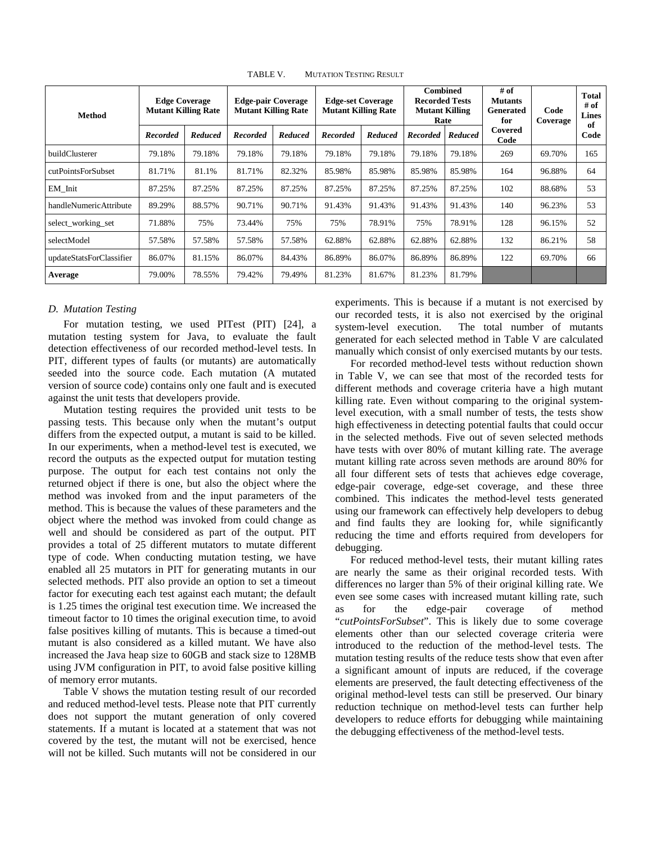| <b>Method</b>            |                 | <b>Edge Coverage</b><br><b>Mutant Killing Rate</b> |                 | <b>Edge-pair Coverage</b><br><b>Mutant Killing Rate</b> |                 | <b>Edge-set Coverage</b><br><b>Mutant Killing Rate</b> |                 | <b>Combined</b><br><b>Recorded Tests</b><br><b>Mutant Killing</b><br>Rate |                 | Code<br>Coverage | Total<br># of<br><b>Lines</b> |
|--------------------------|-----------------|----------------------------------------------------|-----------------|---------------------------------------------------------|-----------------|--------------------------------------------------------|-----------------|---------------------------------------------------------------------------|-----------------|------------------|-------------------------------|
|                          | <b>Recorded</b> | Reduced                                            | <b>Recorded</b> | Reduced                                                 | <b>Recorded</b> | Reduced                                                | <b>Recorded</b> | Reduced                                                                   | Covered<br>Code |                  | of<br>Code                    |
| buildClusterer           | 79.18%          | 79.18%                                             | 79.18%          | 79.18%                                                  | 79.18%          | 79.18%                                                 | 79.18%          | 79.18%                                                                    | 269             | 69.70%           | 165                           |
| cutPointsForSubset       | 81.71%          | 81.1%                                              | 81.71%          | 82.32%                                                  | 85.98%          | 85.98%                                                 | 85.98%          | 85.98%                                                                    | 164             | 96.88%           | 64                            |
| EM Init                  | 87.25%          | 87.25%                                             | 87.25%          | 87.25%                                                  | 87.25%          | 87.25%                                                 | 87.25%          | 87.25%                                                                    | 102             | 88.68%           | 53                            |
| handleNumericAttribute   | 89.29%          | 88.57%                                             | 90.71%          | 90.71%                                                  | 91.43%          | 91.43%                                                 | 91.43%          | 91.43%                                                                    | 140             | 96.23%           | 53                            |
| select_working_set       | 71.88%          | 75%                                                | 73.44%          | 75%                                                     | 75%             | 78.91%                                                 | 75%             | 78.91%                                                                    | 128             | 96.15%           | 52                            |
| selectModel              | 57.58%          | 57.58%                                             | 57.58%          | 57.58%                                                  | 62.88%          | 62.88%                                                 | 62.88%          | 62.88%                                                                    | 132             | 86.21%           | 58                            |
| updateStatsForClassifier | 86.07%          | 81.15%                                             | 86.07%          | 84.43%                                                  | 86.89%          | 86.07%                                                 | 86.89%          | 86.89%                                                                    | 122             | 69.70%           | 66                            |
| Average                  | 79.00%          | 78.55%                                             | 79.42%          | 79.49%                                                  | 81.23%          | 81.67%                                                 | 81.23%          | 81.79%                                                                    |                 |                  |                               |

TABLE V. MUTATION TESTING RESULT

# *D. Mutation Testing*

For mutation testing, we used PITest (PIT) [24], a mutation testing system for Java, to evaluate the fault detection effectiveness of our recorded method-level tests. In PIT, different types of faults (or mutants) are automatically seeded into the source code. Each mutation (A mutated version of source code) contains only one fault and is executed against the unit tests that developers provide.

Mutation testing requires the provided unit tests to be passing tests. This because only when the mutant's output differs from the expected output, a mutant is said to be killed. In our experiments, when a method-level test is executed, we record the outputs as the expected output for mutation testing purpose. The output for each test contains not only the returned object if there is one, but also the object where the method was invoked from and the input parameters of the method. This is because the values of these parameters and the object where the method was invoked from could change as well and should be considered as part of the output. PIT provides a total of 25 different mutators to mutate different type of code. When conducting mutation testing, we have enabled all 25 mutators in PIT for generating mutants in our selected methods. PIT also provide an option to set a timeout factor for executing each test against each mutant; the default is 1.25 times the original test execution time. We increased the timeout factor to 10 times the original execution time, to avoid false positives killing of mutants. This is because a timed-out mutant is also considered as a killed mutant. We have also increased the Java heap size to 60GB and stack size to 128MB using JVM configuration in PIT, to avoid false positive killing of memory error mutants.

Table V shows the mutation testing result of our recorded and reduced method-level tests. Please note that PIT currently does not support the mutant generation of only covered statements. If a mutant is located at a statement that was not covered by the test, the mutant will not be exercised, hence will not be killed. Such mutants will not be considered in our experiments. This is because if a mutant is not exercised by our recorded tests, it is also not exercised by the original system-level execution. The total number of mutants generated for each selected method in Table V are calculated manually which consist of only exercised mutants by our tests.

For recorded method-level tests without reduction shown in Table V, we can see that most of the recorded tests for different methods and coverage criteria have a high mutant killing rate. Even without comparing to the original systemlevel execution, with a small number of tests, the tests show high effectiveness in detecting potential faults that could occur in the selected methods. Five out of seven selected methods have tests with over 80% of mutant killing rate. The average mutant killing rate across seven methods are around 80% for all four different sets of tests that achieves edge coverage, edge-pair coverage, edge-set coverage, and these three combined. This indicates the method-level tests generated using our framework can effectively help developers to debug and find faults they are looking for, while significantly reducing the time and efforts required from developers for debugging.

For reduced method-level tests, their mutant killing rates are nearly the same as their original recorded tests. With differences no larger than 5% of their original killing rate. We even see some cases with increased mutant killing rate, such as for the edge-pair coverage of method "*cutPointsForSubset*". This is likely due to some coverage elements other than our selected coverage criteria were introduced to the reduction of the method-level tests. The mutation testing results of the reduce tests show that even after a significant amount of inputs are reduced, if the coverage elements are preserved, the fault detecting effectiveness of the original method-level tests can still be preserved. Our binary reduction technique on method-level tests can further help developers to reduce efforts for debugging while maintaining the debugging effectiveness of the method-level tests.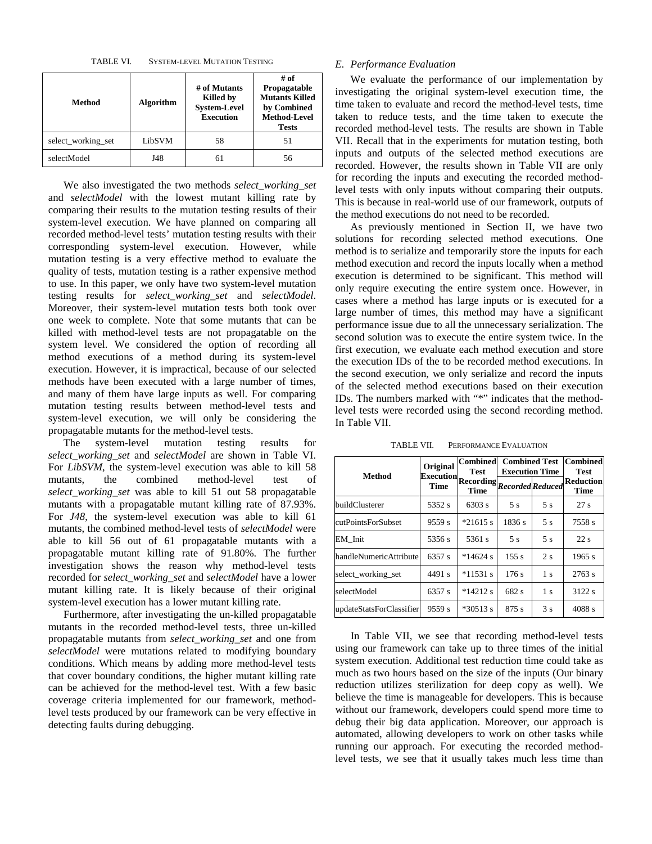TABLE VI. SYSTEM-LEVEL MUTATION TESTING

| Method             | <b>Algorithm</b> | # of Mutants<br>Killed by<br><b>System-Level</b><br><b>Execution</b> | # of<br>Propagatable<br><b>Mutants Killed</b><br>by Combined<br><b>Method-Level</b><br><b>Tests</b> |
|--------------------|------------------|----------------------------------------------------------------------|-----------------------------------------------------------------------------------------------------|
| select working set | LibSVM           | 58                                                                   | 51                                                                                                  |
| selectModel        | J48              |                                                                      | 56                                                                                                  |

We also investigated the two methods *select\_working\_set* and *selectModel* with the lowest mutant killing rate by comparing their results to the mutation testing results of their system-level execution. We have planned on comparing all recorded method-level tests' mutation testing results with their corresponding system-level execution. However, while mutation testing is a very effective method to evaluate the quality of tests, mutation testing is a rather expensive method to use. In this paper, we only have two system-level mutation testing results for *select\_working\_set* and *selectModel*. Moreover, their system-level mutation tests both took over one week to complete. Note that some mutants that can be killed with method-level tests are not propagatable on the system level. We considered the option of recording all method executions of a method during its system-level execution. However, it is impractical, because of our selected methods have been executed with a large number of times, and many of them have large inputs as well. For comparing mutation testing results between method-level tests and system-level execution, we will only be considering the propagatable mutants for the method-level tests.

The system-level mutation testing results for *select\_working\_set* and *selectModel* are shown in Table VI. For *LibSVM*, the system-level execution was able to kill 58 mutants, the combined method-level test of *select\_working\_set* was able to kill 51 out 58 propagatable mutants with a propagatable mutant killing rate of 87.93%. For *J48*, the system-level execution was able to kill 61 mutants, the combined method-level tests of *selectModel* were able to kill 56 out of 61 propagatable mutants with a propagatable mutant killing rate of 91.80%. The further investigation shows the reason why method-level tests recorded for *select\_working\_set* and *selectModel* have a lower mutant killing rate. It is likely because of their original system-level execution has a lower mutant killing rate.

Furthermore, after investigating the un-killed propagatable mutants in the recorded method-level tests, three un-killed propagatable mutants from *select\_working\_set* and one from *selectModel* were mutations related to modifying boundary conditions. Which means by adding more method-level tests that cover boundary conditions, the higher mutant killing rate can be achieved for the method-level test. With a few basic coverage criteria implemented for our framework, methodlevel tests produced by our framework can be very effective in detecting faults during debugging.

# *E. Performance Evaluation*

We evaluate the performance of our implementation by investigating the original system-level execution time, the time taken to evaluate and record the method-level tests, time taken to reduce tests, and the time taken to execute the recorded method-level tests. The results are shown in Table VII. Recall that in the experiments for mutation testing, both inputs and outputs of the selected method executions are recorded. However, the results shown in Table VII are only for recording the inputs and executing the recorded methodlevel tests with only inputs without comparing their outputs. This is because in real-world use of our framework, outputs of the method executions do not need to be recorded.

As previously mentioned in Section II, we have two solutions for recording selected method executions. One method is to serialize and temporarily store the inputs for each method execution and record the inputs locally when a method execution is determined to be significant. This method will only require executing the entire system once. However, in cases where a method has large inputs or is executed for a large number of times, this method may have a significant performance issue due to all the unnecessary serialization. The second solution was to execute the entire system twice. In the first execution, we evaluate each method execution and store the execution IDs of the to be recorded method executions. In the second execution, we only serialize and record the inputs of the selected method executions based on their execution IDs. The numbers marked with "\*" indicates that the methodlevel tests were recorded using the second recording method. In Table VII.

|                          | Original | Combined<br><b>Test</b>                                                                 | <b>Combined Test</b><br><b>Execution Time</b> | <b>Combined</b><br><b>Test</b> |                          |  |
|--------------------------|----------|-----------------------------------------------------------------------------------------|-----------------------------------------------|--------------------------------|--------------------------|--|
| <b>Method</b>            |          | $[{\bf Exception}]\overline{{\bf Recording}}\overline{\bf {Re} \\co rded} \\ {Reduced}$ |                                               |                                | <b>Reduction</b><br>Time |  |
| buildClusterer           | 5352 s   | 6303 s                                                                                  | 5 s                                           | 5 s                            | 27s                      |  |
| cutPointsForSubset       | 9559 s   | $*21615$ s                                                                              | 1836 s                                        | 5s                             | 7558 s                   |  |
| EM Init                  | 5356 s   | 5361 s                                                                                  | 5s                                            | 5 <sub>s</sub>                 | 22s                      |  |
| handleNumericAttribute   | 6357 s   | $*14624$ s                                                                              | 155 s                                         | 2 <sub>s</sub>                 | 1965 s                   |  |
| select_working_set       | 4491 s   | $*11531$ s                                                                              | 176s                                          | 1 s                            | 2763 s                   |  |
| selectModel              | 6357 s   | $*14212$ s                                                                              | 682 s                                         | 1 <sub>s</sub>                 | 3122 s                   |  |
| updateStatsForClassifier | 9559 s   | $*30513 s$                                                                              | 875 s                                         | 3s                             | 4088s                    |  |

TABLE VII. PERFORMANCE EVALUATION

In Table VII, we see that recording method-level tests using our framework can take up to three times of the initial system execution. Additional test reduction time could take as much as two hours based on the size of the inputs (Our binary reduction utilizes sterilization for deep copy as well). We believe the time is manageable for developers. This is because without our framework, developers could spend more time to debug their big data application. Moreover, our approach is automated, allowing developers to work on other tasks while running our approach. For executing the recorded methodlevel tests, we see that it usually takes much less time than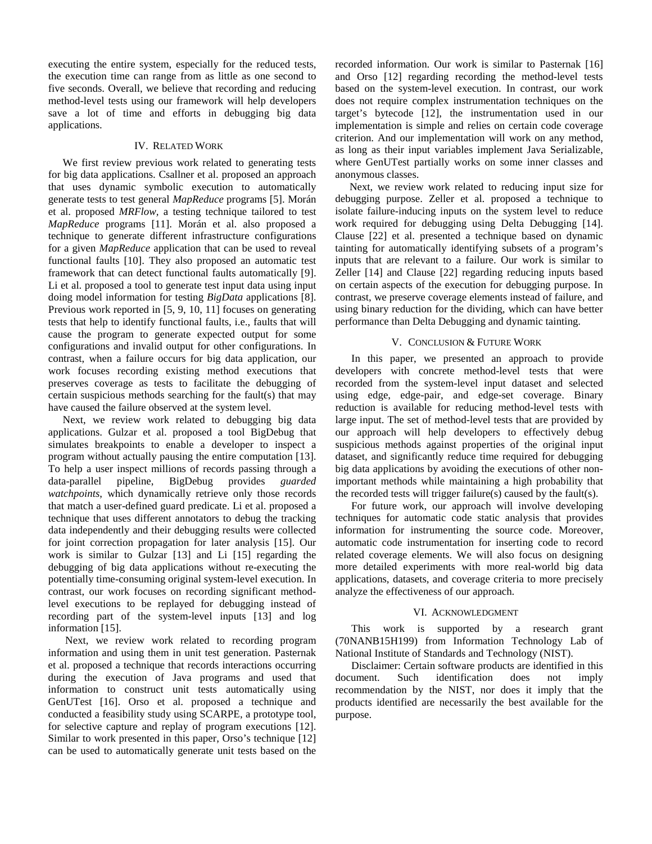executing the entire system, especially for the reduced tests, the execution time can range from as little as one second to five seconds. Overall, we believe that recording and reducing method-level tests using our framework will help developers save a lot of time and efforts in debugging big data applications.

#### IV. RELATED WORK

We first review previous work related to generating tests for big data applications. Csallner et al. proposed an approach that uses dynamic symbolic execution to automatically generate tests to test general *MapReduce* programs [5]. Morán et al. proposed *MRFlow,* a testing technique tailored to test *MapReduce* programs [11]. Morán et al. also proposed a technique to generate different infrastructure configurations for a given *MapReduce* application that can be used to reveal functional faults [10]. They also proposed an automatic test framework that can detect functional faults automatically [9]. Li et al. proposed a tool to generate test input data using input doing model information for testing *BigData* applications [8]. Previous work reported in [5, 9, 10, 11] focuses on generating tests that help to identify functional faults, i.e., faults that will cause the program to generate expected output for some configurations and invalid output for other configurations. In contrast, when a failure occurs for big data application, our work focuses recording existing method executions that preserves coverage as tests to facilitate the debugging of certain suspicious methods searching for the fault(s) that may have caused the failure observed at the system level.

Next, we review work related to debugging big data applications. Gulzar et al. proposed a tool BigDebug that simulates breakpoints to enable a developer to inspect a program without actually pausing the entire computation [13]. To help a user inspect millions of records passing through a data-parallel pipeline, BigDebug provides *guarded* data-parallel pipeline, BigDebug provides *guarded watchpoints*, which dynamically retrieve only those records that match a user-defined guard predicate. Li et al. proposed a technique that uses different annotators to debug the tracking data independently and their debugging results were collected for joint correction propagation for later analysis [15]. Our work is similar to Gulzar [13] and Li [15] regarding the debugging of big data applications without re-executing the potentially time-consuming original system-level execution. In contrast, our work focuses on recording significant methodlevel executions to be replayed for debugging instead of recording part of the system-level inputs [13] and log information [15].

Next, we review work related to recording program information and using them in unit test generation. Pasternak et al. proposed a technique that records interactions occurring during the execution of Java programs and used that information to construct unit tests automatically using GenUTest [16]. Orso et al. proposed a technique and conducted a feasibility study using SCARPE, a prototype tool, for selective capture and replay of program executions [12]. Similar to work presented in this paper, Orso's technique [12] can be used to automatically generate unit tests based on the

recorded information. Our work is similar to Pasternak [16] and Orso [12] regarding recording the method-level tests based on the system-level execution. In contrast, our work does not require complex instrumentation techniques on the target's bytecode [12], the instrumentation used in our implementation is simple and relies on certain code coverage criterion. And our implementation will work on any method, as long as their input variables implement Java Serializable, where GenUTest partially works on some inner classes and anonymous classes.

Next, we review work related to reducing input size for debugging purpose. Zeller et al. proposed a technique to isolate failure-inducing inputs on the system level to reduce work required for debugging using Delta Debugging [14]. Clause [22] et al. presented a technique based on dynamic tainting for automatically identifying subsets of a program's inputs that are relevant to a failure. Our work is similar to Zeller [14] and Clause [22] regarding reducing inputs based on certain aspects of the execution for debugging purpose. In contrast, we preserve coverage elements instead of failure, and using binary reduction for the dividing, which can have better performance than Delta Debugging and dynamic tainting.

## V. CONCLUSION & FUTURE WORK

 In this paper, we presented an approach to provide developers with concrete method-level tests that were recorded from the system-level input dataset and selected using edge, edge-pair, and edge-set coverage. Binary reduction is available for reducing method-level tests with large input. The set of method-level tests that are provided by our approach will help developers to effectively debug suspicious methods against properties of the original input dataset, and significantly reduce time required for debugging big data applications by avoiding the executions of other nonimportant methods while maintaining a high probability that the recorded tests will trigger failure(s) caused by the fault(s).

 For future work, our approach will involve developing techniques for automatic code static analysis that provides information for instrumenting the source code. Moreover, automatic code instrumentation for inserting code to record related coverage elements. We will also focus on designing more detailed experiments with more real-world big data applications, datasets, and coverage criteria to more precisely analyze the effectiveness of our approach.

## VI. ACKNOWLEDGMENT

 This work is supported by a research grant (70NANB15H199) from Information Technology Lab of National Institute of Standards and Technology (NIST).

 Disclaimer: Certain software products are identified in this document. Such identification does not imply recommendation by the NIST, nor does it imply that the products identified are necessarily the best available for the purpose.